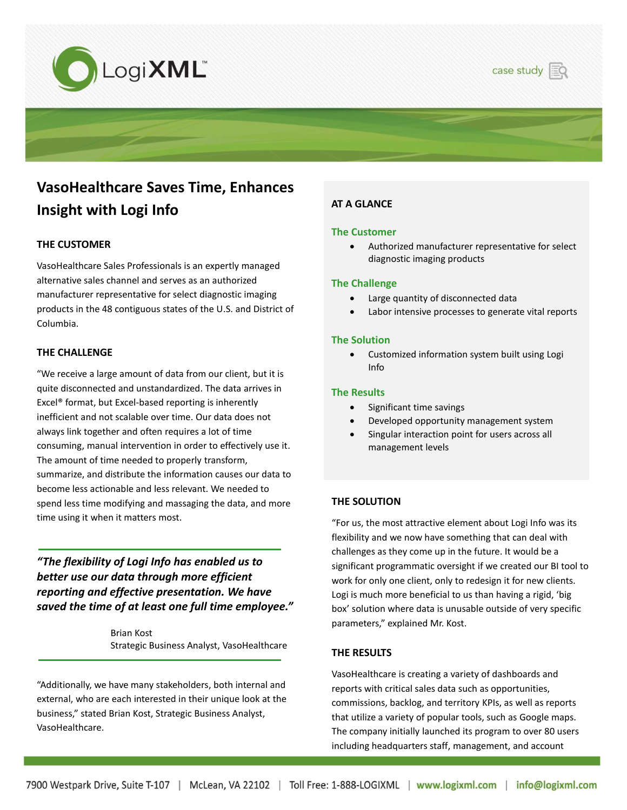



# **VasoHealthcare Saves Time, Enhances Insight with Logi Info**

### **THE CUSTOMER**

VasoHealthcare Sales Professionals is an expertly managed alternative sales channel and serves as an authorized manufacturer representative for select diagnostic imaging products in the 48 contiguous states of the U.S. and District of Columbia.

#### **THE CHALLENGE**

"We receive a large amount of data from our client, but it is quite disconnected and unstandardized. The data arrives in Excel® format, but Excel-based reporting is inherently inefficient and not scalable over time. Our data does not always link together and often requires a lot of time consuming, manual intervention in order to effectively use it. The amount of time needed to properly transform, summarize, and distribute the information causes our data to become less actionable and less relevant. We needed to spend less time modifying and massaging the data, and more time using it when it matters most.

*"The flexibility of Logi Info has enabled us to better use our data through more efficient reporting and effective presentation. We have saved the time of at least one full time employee."* 

> Brian Kost Strategic Business Analyst, VasoHealthcare

"Additionally, we have many stakeholders, both internal and external, who are each interested in their unique look at the business," stated Brian Kost, Strategic Business Analyst, VasoHealthcare.

 $\overline{a}$ 

## **AT A GLANCE**

#### **The Customer**

 Authorized manufacturer representative for select diagnostic imaging products

#### **The Challenge**

- Large quantity of disconnected data
- Labor intensive processes to generate vital reports

#### **The Solution**

 Customized information system built using Logi Info

#### **The Results**

- Significant time savings
- Developed opportunity management system
- Singular interaction point for users across all management levels

#### **THE SOLUTION**

"For us, the most attractive element about Logi Info was its flexibility and we now have something that can deal with challenges as they come up in the future. It would be a significant programmatic oversight if we created our BI tool to work for only one client, only to redesign it for new clients. Logi is much more beneficial to us than having a rigid, 'big box' solution where data is unusable outside of very specific parameters," explained Mr. Kost.

#### **THE RESULTS**

VasoHealthcare is creating a variety of dashboards and reports with critical sales data such as opportunities, commissions, backlog, and territory KPIs, as well as reports that utilize a variety of popular tools, such as Google maps. The company initially launched its program to over 80 users including headquarters staff, management, and account